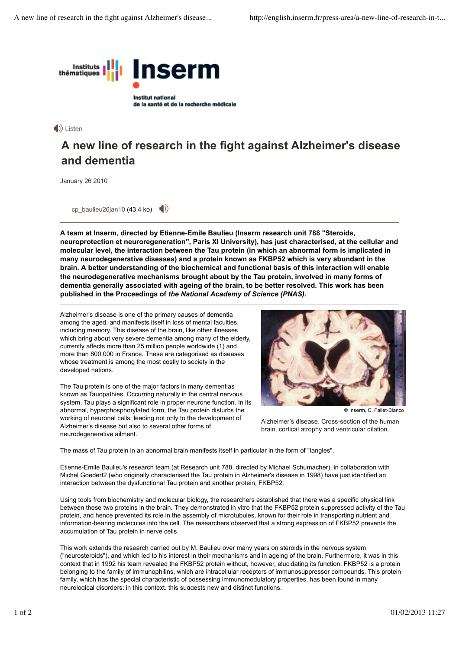

de la santé et de la recherche médicale

## $\langle \rangle$  Listen

# **A new line of research in the fight against Alzheimer's disease and dementia**

January 26 2010

cp\_baulieu26jan10 (43.4 ko)  $\Box$ 

**A team at Inserm, directed by Etienne-Emile Baulieu (Inserm research unit 788 "Steroids, neuroprotection et neuroregeneration", Paris XI University), has just characterised, at the cellular and molecular level, the interaction between the Tau protein (in which an abnormal form is implicated in many neurodegenerative diseases) and a protein known as FKBP52 which is very abundant in the brain. A better understanding of the biochemical and functional basis of this interaction will enable the neurodegenerative mechanisms brought about by the Tau protein, involved in many forms of dementia generally associated with ageing of the brain, to be better resolved. This work has been published in the Proceedings of** *the National Academy of Science (PNAS).*

Alzheimer's disease is one of the primary causes of dementia among the aged, and manifests itself in loss of mental faculties, including memory. This disease of the brain, like other illnesses which bring about very severe dementia among many of the elderly, currently affects more than 25 million people worldwide (1) and more than 800,000 in France. These are categorised as diseases whose treatment is among the most costly to society in the developed nations.

The Tau protein is one of the major factors in many dementias known as Tauopathies. Occurring naturally in the central nervous system, Tau plays a significant role in proper neurone function. In its abnormal, hyperphosphorylated form, the Tau protein disturbs the working of neuronal cells, leading not only to the development of Alzheimer's disease but also to several other forms of neurodegenerative ailment.



© Inserm, C. Fallet-Bianco

Alzheimer's disease. Cross-section of the human brain, cortical atrophy and ventricular dilation.

The mass of Tau protein in an abnormal brain manifests itself in particular in the form of "tangles".

Etienne-Emile Baulieu's research team (at Research unit 788, directed by Michael Schumacher), in collaboration with Michel Goedert2 (who originally characterised the Tau protein in Alzheimer's disease in 1998) have just identified an interaction between the dysfunctional Tau protein and another protein, FKBP52.

Using tools from biochemistry and molecular biology, the researchers established that there was a specific physical link between these two proteins in the brain. They demonstrated in vitro that the FKBP52 protein suppressed activity of the Tau protein, and hence prevented its role in the assembly of microtubules, known for their role in transporting nutrient and information-bearing molecules into the cell. The researchers observed that a strong expression of FKBP52 prevents the accumulation of Tau protein in nerve cells.

This work extends the research carried out by M. Baulieu over many years on steroids in the nervous system ("neurosteroids"), and which led to his interest in their mechanisms and in ageing of the brain. Furthermore, it was in this context that in 1992 his team revealed the FKBP52 protein without, however, elucidating its function. FKBP52 is a protein belonging to the family of immunophilins, which are intracellular receptors of immunosuppressor compounds. This protein family, which has the special characteristic of possessing immunomodulatory properties, has been found in many neurological disorders: in this context, this suggests new and distinct functions.